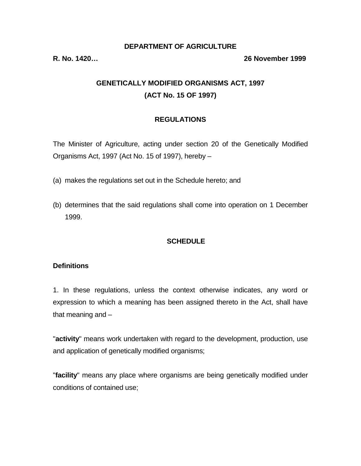#### **DEPARTMENT OF AGRICULTURE**

#### **R. No. 1420… 26 November 1999**

# **GENETICALLY MODIFIED ORGANISMS ACT, 1997 (ACT No. 15 OF 1997)**

#### **REGULATIONS**

The Minister of Agriculture, acting under section 20 of the Genetically Modified Organisms Act, 1997 (Act No. 15 of 1997), hereby –

- (a) makes the regulations set out in the Schedule hereto; and
- (b) determines that the said regulations shall come into operation on 1 December 1999.

#### **SCHEDULE**

#### **Definitions**

1. In these regulations, unless the context otherwise indicates, any word or expression to which a meaning has been assigned thereto in the Act, shall have that meaning and –

"**activity**" means work undertaken with regard to the development, production, use and application of genetically modified organisms;

"**facility**" means any place where organisms are being genetically modified under conditions of contained use;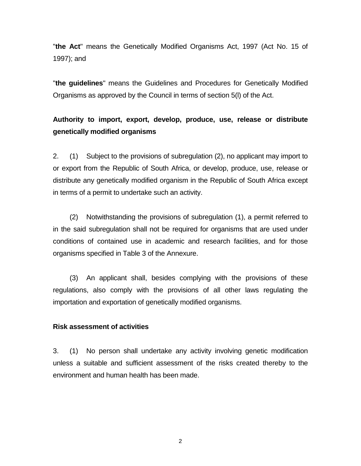"**the Act**" means the Genetically Modified Organisms Act, 1997 (Act No. 15 of 1997); and

"**the guidelines**" means the Guidelines and Procedures for Genetically Modified Organisms as approved by the Council in terms of section 5(l) of the Act.

# **Authority to import, export, develop, produce, use, release or distribute genetically modified organisms**

2. (1) Subject to the provisions of subregulation (2), no applicant may import to or export from the Republic of South Africa, or develop, produce, use, release or distribute any genetically modified organism in the Republic of South Africa except in terms of a permit to undertake such an activity.

 (2) Notwithstanding the provisions of subregulation (1), a permit referred to in the said subregulation shall not be required for organisms that are used under conditions of contained use in academic and research facilities, and for those organisms specified in Table 3 of the Annexure.

 (3) An applicant shall, besides complying with the provisions of these regulations, also comply with the provisions of all other laws regulating the importation and exportation of genetically modified organisms.

#### **Risk assessment of activities**

3. (1) No person shall undertake any activity involving genetic modification unless a suitable and sufficient assessment of the risks created thereby to the environment and human health has been made.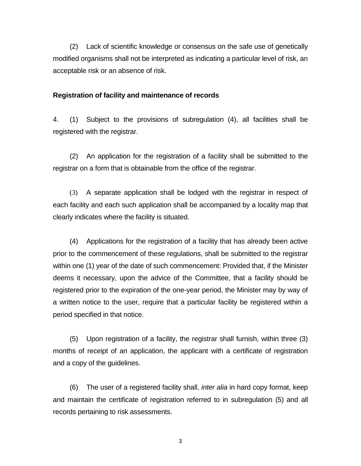(2) Lack of scientific knowledge or consensus on the safe use of genetically modified organisms shall not be interpreted as indicating a particular level of risk, an acceptable risk or an absence of risk.

#### **Registration of facility and maintenance of records**

4. (1) Subject to the provisions of subregulation (4), all facilities shall be registered with the registrar.

 (2) An application for the registration of a facility shall be submitted to the registrar on a form that is obtainable from the office of the registrar.

 (3) A separate application shall be lodged with the registrar in respect of each facility and each such application shall be accompanied by a locality map that clearly indicates where the facility is situated.

 (4) Applications for the registration of a facility that has already been active prior to the commencement of these regulations, shall be submitted to the registrar within one (1) year of the date of such commencement: Provided that, if the Minister deems it necessary, upon the advice of the Committee, that a facility should be registered prior to the expiration of the one-year period, the Minister may by way of a written notice to the user, require that a particular facility be registered within a period specified in that notice.

 (5) Upon registration of a facility, the registrar shall furnish, within three (3) months of receipt of an application, the applicant with a certificate of registration and a copy of the guidelines.

 (6) The user of a registered facility shall, *inter alia* in hard copy format, keep and maintain the certificate of registration referred to in subregulation (5) and all records pertaining to risk assessments.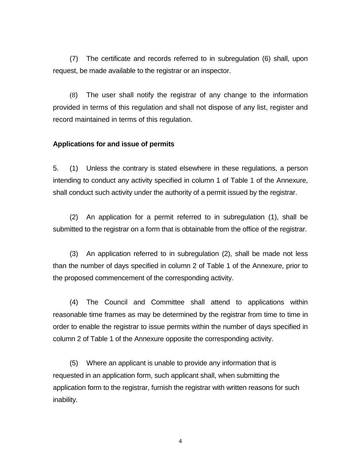(7) The certificate and records referred to in subregulation (6) shall, upon request, be made available to the registrar or an inspector.

 (8) The user shall notify the registrar of any change to the information provided in terms of this regulation and shall not dispose of any list, register and record maintained in terms of this regulation.

#### **Applications for and issue of permits**

5. (1) Unless the contrary is stated elsewhere in these regulations, a person intending to conduct any activity specified in column 1 of Table 1 of the Annexure, shall conduct such activity under the authority of a permit issued by the registrar.

 (2) An application for a permit referred to in subregulation (1), shall be submitted to the registrar on a form that is obtainable from the office of the registrar.

 (3) An application referred to in subregulation (2), shall be made not less than the number of days specified in column 2 of Table 1 of the Annexure, prior to the proposed commencement of the corresponding activity.

 (4) The Council and Committee shall attend to applications within reasonable time frames as may be determined by the registrar from time to time in order to enable the registrar to issue permits within the number of days specified in column 2 of Table 1 of the Annexure opposite the corresponding activity.

 (5) Where an applicant is unable to provide any information that is requested in an application form, such applicant shall, when submitting the application form to the registrar, furnish the registrar with written reasons for such inability.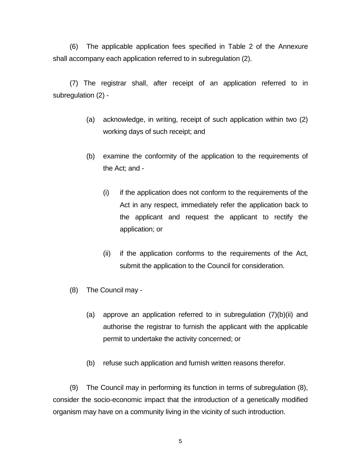(6) The applicable application fees specified in Table 2 of the Annexure shall accompany each application referred to in subregulation (2).

 (7) The registrar shall, after receipt of an application referred to in subregulation (2) -

- (a) acknowledge, in writing, receipt of such application within two (2) working days of such receipt; and
- (b) examine the conformity of the application to the requirements of the Act; and -
	- (i) if the application does not conform to the requirements of the Act in any respect, immediately refer the application back to the applicant and request the applicant to rectify the application; or
	- (ii) if the application conforms to the requirements of the Act, submit the application to the Council for consideration.
- (8) The Council may
	- (a) approve an application referred to in subregulation (7)(b)(ii) and authorise the registrar to furnish the applicant with the applicable permit to undertake the activity concerned; or
	- (b) refuse such application and furnish written reasons therefor.

 (9) The Council may in performing its function in terms of subregulation (8), consider the socio-economic impact that the introduction of a genetically modified organism may have on a community living in the vicinity of such introduction.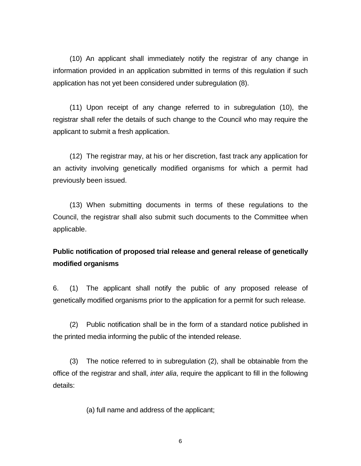(10) An applicant shall immediately notify the registrar of any change in information provided in an application submitted in terms of this regulation if such application has not yet been considered under subregulation (8).

 (11) Upon receipt of any change referred to in subregulation (10), the registrar shall refer the details of such change to the Council who may require the applicant to submit a fresh application.

 (12) The registrar may, at his or her discretion, fast track any application for an activity involving genetically modified organisms for which a permit had previously been issued.

 (13) When submitting documents in terms of these regulations to the Council, the registrar shall also submit such documents to the Committee when applicable.

## **Public notification of proposed trial release and general release of genetically modified organisms**

6. (1) The applicant shall notify the public of any proposed release of genetically modified organisms prior to the application for a permit for such release.

 (2) Public notification shall be in the form of a standard notice published in the printed media informing the public of the intended release.

 (3) The notice referred to in subregulation (2), shall be obtainable from the office of the registrar and shall, *inter alia*, require the applicant to fill in the following details:

(a) full name and address of the applicant;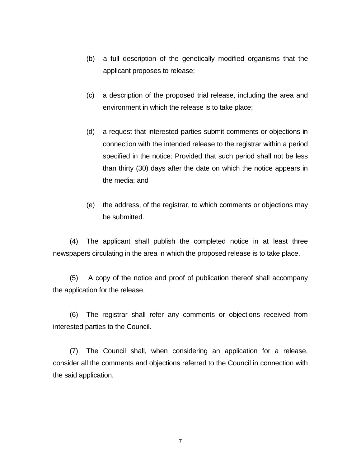- (b) a full description of the genetically modified organisms that the applicant proposes to release;
- (c) a description of the proposed trial release, including the area and environment in which the release is to take place;
- (d) a request that interested parties submit comments or objections in connection with the intended release to the registrar within a period specified in the notice: Provided that such period shall not be less than thirty (30) days after the date on which the notice appears in the media; and
- (e) the address, of the registrar, to which comments or objections may be submitted.

 (4) The applicant shall publish the completed notice in at least three newspapers circulating in the area in which the proposed release is to take place.

 (5) A copy of the notice and proof of publication thereof shall accompany the application for the release.

 (6) The registrar shall refer any comments or objections received from interested parties to the Council.

 (7) The Council shall, when considering an application for a release, consider all the comments and objections referred to the Council in connection with the said application.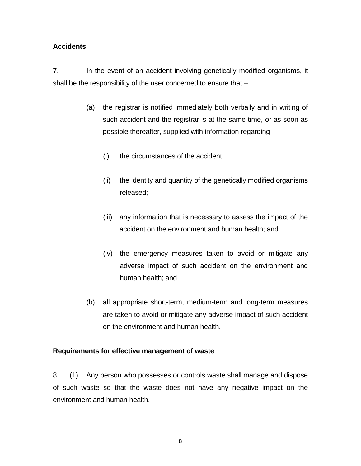### **Accidents**

7. In the event of an accident involving genetically modified organisms, it shall be the responsibility of the user concerned to ensure that –

- (a) the registrar is notified immediately both verbally and in writing of such accident and the registrar is at the same time, or as soon as possible thereafter, supplied with information regarding -
	- (i) the circumstances of the accident;
	- (ii) the identity and quantity of the genetically modified organisms released;
	- (iii) any information that is necessary to assess the impact of the accident on the environment and human health; and
	- (iv) the emergency measures taken to avoid or mitigate any adverse impact of such accident on the environment and human health; and
- (b) all appropriate short-term, medium-term and long-term measures are taken to avoid or mitigate any adverse impact of such accident on the environment and human health.

#### **Requirements for effective management of waste**

8. (1) Any person who possesses or controls waste shall manage and dispose of such waste so that the waste does not have any negative impact on the environment and human health.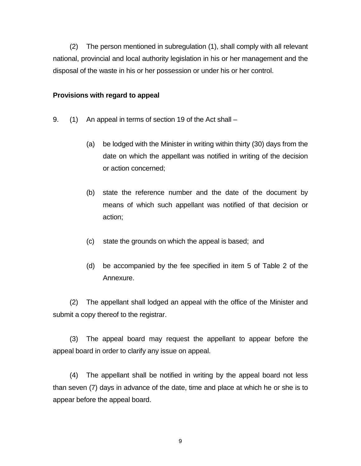(2) The person mentioned in subregulation (1), shall comply with all relevant national, provincial and local authority legislation in his or her management and the disposal of the waste in his or her possession or under his or her control.

#### **Provisions with regard to appeal**

- 9. (1) An appeal in terms of section 19 of the Act shall
	- (a) be lodged with the Minister in writing within thirty (30) days from the date on which the appellant was notified in writing of the decision or action concerned;
	- (b) state the reference number and the date of the document by means of which such appellant was notified of that decision or action;
	- (c) state the grounds on which the appeal is based; and
	- (d) be accompanied by the fee specified in item 5 of Table 2 of the Annexure.

 (2) The appellant shall lodged an appeal with the office of the Minister and submit a copy thereof to the registrar.

 (3) The appeal board may request the appellant to appear before the appeal board in order to clarify any issue on appeal.

 (4) The appellant shall be notified in writing by the appeal board not less than seven (7) days in advance of the date, time and place at which he or she is to appear before the appeal board.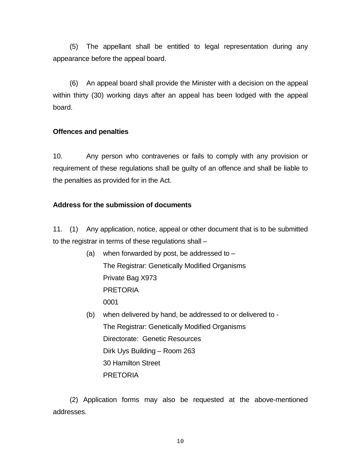(5) The appellant shall be entitled to legal representation during any appearance before the appeal board.

 (6) An appeal board shall provide the Minister with a decision on the appeal within thirty (30) working days after an appeal has been lodged with the appeal board.

#### **Offences and penalties**

10. Any person who contravenes or fails to comply with any provision or requirement of these regulations shall be guilty of an offence and shall be liable to the penalties as provided for in the Act.

## **Address for the submission of documents**

11. (1) Any application, notice, appeal or other document that is to be submitted to the registrar in terms of these regulations shall –

- (a) when forwarded by post, be addressed to  $-$  The Registrar: Genetically Modified Organisms Private Bag X973 PRETORIA 0001
- (b) when delivered by hand, be addressed to or delivered to The Registrar: Genetically Modified Organisms Directorate: Genetic Resources Dirk Uys Building – Room 263 30 Hamilton Street PRETORIA

 (2) Application forms may also be requested at the above-mentioned addresses.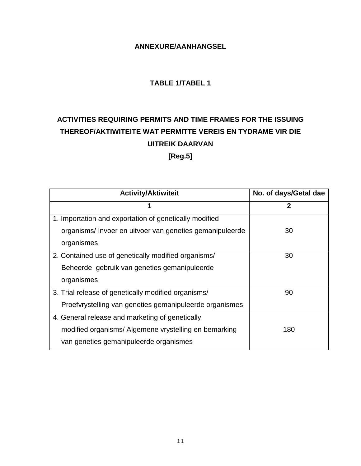## **ANNEXURE/AANHANGSEL**

## **TABLE 1/TABEL 1**

# **ACTIVITIES REQUIRING PERMITS AND TIME FRAMES FOR THE ISSUING THEREOF/AKTIWITEITE WAT PERMITTE VEREIS EN TYDRAME VIR DIE UITREIK DAARVAN [Reg.5]**

| <b>Activity/Aktiwiteit</b>                              | No. of days/Getal dae |
|---------------------------------------------------------|-----------------------|
| 1                                                       | $\mathbf{2}$          |
| 1. Importation and exportation of genetically modified  |                       |
| organisms/Invoer en uitvoer van geneties gemanipuleerde | 30                    |
| organismes                                              |                       |
| 2. Contained use of genetically modified organisms/     | 30                    |
| Beheerde gebruik van geneties gemanipuleerde            |                       |
| organismes                                              |                       |
| 3. Trial release of genetically modified organisms/     | 90                    |
| Proefvrystelling van geneties gemanipuleerde organismes |                       |
| 4. General release and marketing of genetically         |                       |
| modified organisms/ Algemene vrystelling en bemarking   | 180                   |
| van geneties gemanipuleerde organismes                  |                       |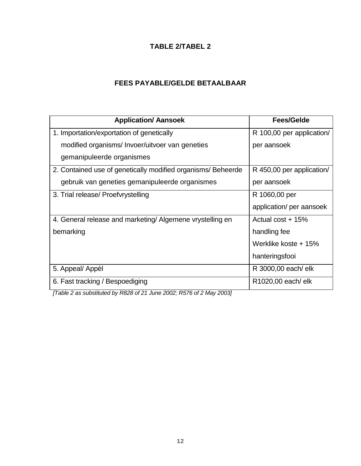## **TABLE 2/TABEL 2**

## **FEES PAYABLE/GELDE BETAALBAAR**

| <b>Application/ Aansoek</b>                                  | <b>Fees/Gelde</b>         |  |  |
|--------------------------------------------------------------|---------------------------|--|--|
| 1. Importation/exportation of genetically                    | R 100,00 per application/ |  |  |
| modified organisms/ Invoer/uitvoer van geneties              | per aansoek               |  |  |
| gemanipuleerde organismes                                    |                           |  |  |
| 2. Contained use of genetically modified organisms/ Beheerde | R 450,00 per application/ |  |  |
| gebruik van geneties gemanipuleerde organismes               | per aansoek               |  |  |
| 3. Trial release/ Proefvrystelling                           | R 1060,00 per             |  |  |
|                                                              | application/ per aansoek  |  |  |
| 4. General release and marketing/ Algemene vrystelling en    | Actual cost + 15%         |  |  |
| bemarking                                                    | handling fee              |  |  |
|                                                              | Werklike koste + 15%      |  |  |
|                                                              | hanteringsfooi            |  |  |
| 5. Appeal/ Appèl                                             | R 3000,00 each/ elk       |  |  |
| 6. Fast tracking / Bespoediging                              | R1020,00 each/ elk        |  |  |

*[Table 2 as substituted by R828 of 21 June 2002; R576 of 2 May 2003]*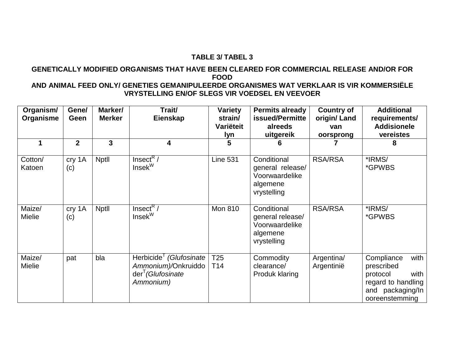#### **TABLE 3/ TABEL 3**

#### **GENETICALLY MODIFIED ORGANISMS THAT HAVE BEEN CLEARED FOR COMMERCIAL RELEASE AND/OR FOR FOOD AND ANIMAL FEED ONLY/ GENETIES GEMANIPULEERDE ORGANISMES WAT VERKLAAR IS VIR KOMMERSIËLE**

# **VRYSTELLING EN/OF SLEGS VIR VOEDSEL EN VEEVOER**

| Organism/<br>Organisme  | Gene/<br>Geen  | Marker/<br><b>Merker</b> | Trait/<br>Eienskap                                                                           | <b>Variety</b><br>strain/<br>Variëteit<br>lyn | <b>Permits already</b><br>issued/Permitte<br>alreeds<br>uitgereik            | <b>Country of</b><br>origin/Land<br>van<br>oorsprong | <b>Additional</b><br>requirements/<br><b>Addisionele</b><br>vereistes                                            |
|-------------------------|----------------|--------------------------|----------------------------------------------------------------------------------------------|-----------------------------------------------|------------------------------------------------------------------------------|------------------------------------------------------|------------------------------------------------------------------------------------------------------------------|
|                         | $\overline{2}$ | 3                        | 4                                                                                            | 5                                             | 6                                                                            |                                                      | 8                                                                                                                |
| Cotton/<br>Katoen       | cry 1A<br>(c)  | <b>Nptll</b>             | $InsectR$ /<br>$Insek^W$                                                                     | <b>Line 531</b>                               | Conditional<br>general release/<br>Voorwaardelike<br>algemene<br>vrystelling | <b>RSA/RSA</b>                                       | *IRMS/<br><i><b>*GPWBS</b></i>                                                                                   |
| Maize/<br><b>Mielie</b> | cry 1A<br>(c)  | <b>Nptll</b>             | Insect <sup>R</sup><br>$Insek^W$                                                             | <b>Mon 810</b>                                | Conditional<br>general release/<br>Voorwaardelike<br>algemene<br>vrystelling | <b>RSA/RSA</b>                                       | *IRMS/<br><i><b>*GPWBS</b></i>                                                                                   |
| Maize/<br><b>Mielie</b> | pat            | bla                      | Herbicide (Glufosinate<br>Ammonium)/Onkruiddo<br>der <sup>T</sup> (Glufosinate)<br>Ammonium) | T <sub>25</sub><br>T <sub>14</sub>            | Commodity<br>clearance/<br>Produk klaring                                    | Argentina/<br>Argentinië                             | Compliance<br>with<br>prescribed<br>with<br>protocol<br>regard to handling<br>and packaging/In<br>ooreenstemming |